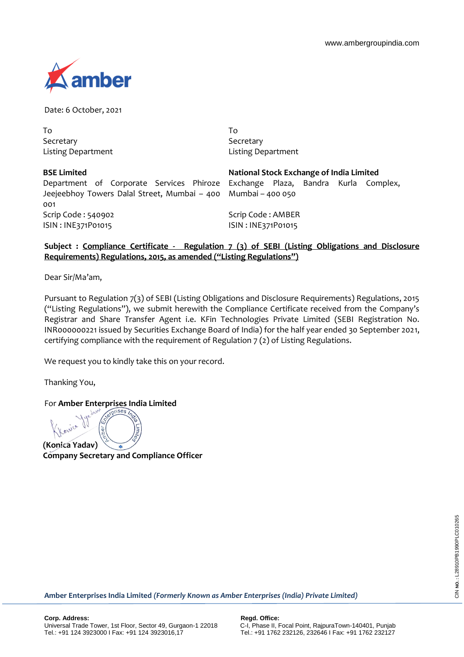Kurla Complex,



Date: 6 October, 2021

To Secretary Listing Department To **Secretary** Listing Department

| National Stock Exchange of India Limited                                  |
|---------------------------------------------------------------------------|
| Department of Corporate Services Phiroze Exchange Plaza, Bandra Kurla Con |
| Jeejeebhoy Towers Dalal Street, Mumbai - 400 Mumbai - 400 050             |
|                                                                           |
| Scrip Code: AMBER                                                         |
| ISIN: INE371P01015                                                        |
|                                                                           |

## **Subject : Compliance Certificate - Regulation 7 (3) of SEBI (Listing Obligations and Disclosure Requirements) Regulations, 2015, as amended ("Listing Regulations")**

Dear Sir/Ma'am,

Pursuant to Regulation 7(3) of SEBI (Listing Obligations and Disclosure Requirements) Regulations, 2015 ("Listing Regulations"), we submit herewith the Compliance Certificate received from the Company's Registrar and Share Transfer Agent i.e. KFin Technologies Private Limited (SEBI Registration No. INR000000221 issued by Securities Exchange Board of India) for the half year ended 30 September 2021, certifying compliance with the requirement of Regulation 7 (2) of Listing Regulations.

We request you to kindly take this on your record.

Thanking You,

For **Amber Enterprises India Limited**

**(Konica Yadav)**

**Company Secretary and Compliance Officer**